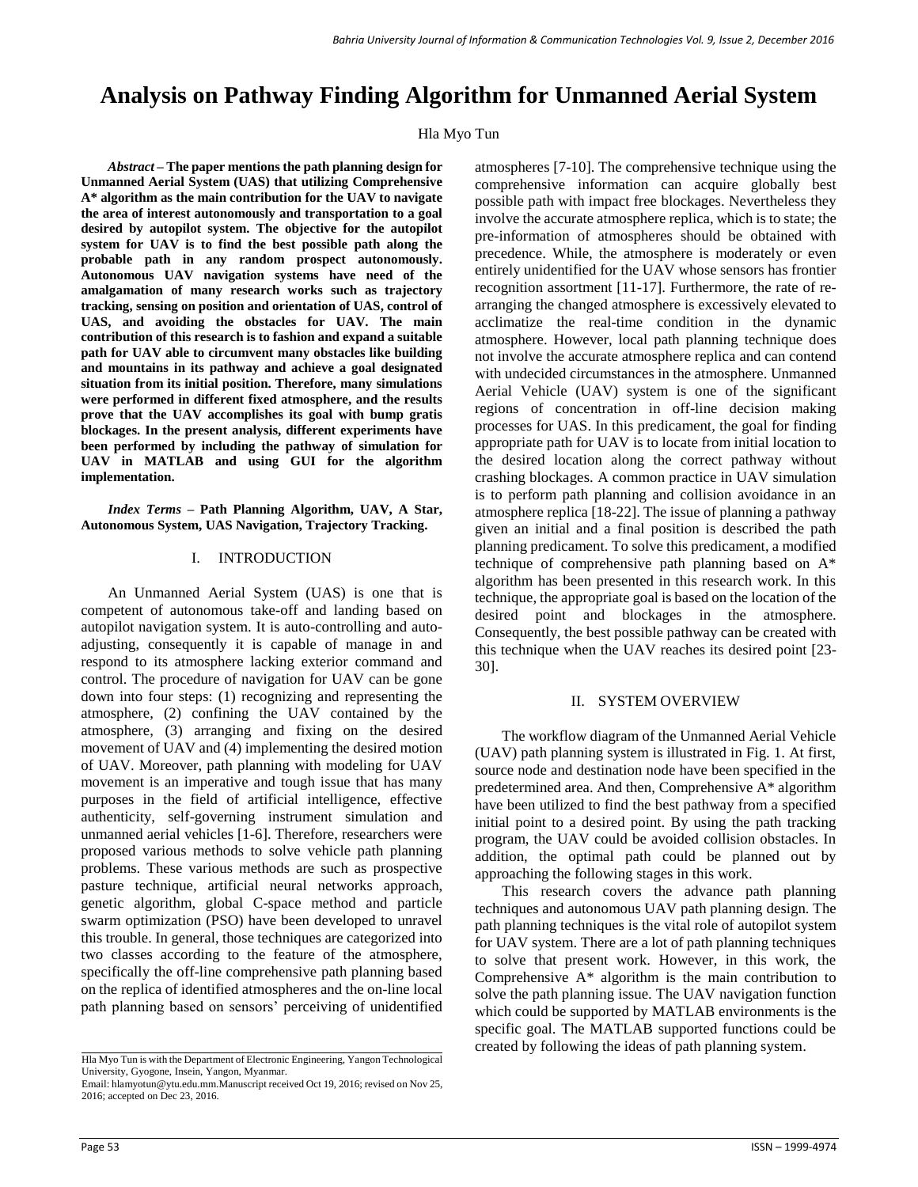# **Analysis on Pathway Finding Algorithm for Unmanned Aerial System**

#### Hla Myo Tun

*Abstract –* **The paper mentions the path planning design for Unmanned Aerial System (UAS) that utilizing Comprehensive A\* algorithm as the main contribution for the UAV to navigate the area of interest autonomously and transportation to a goal desired by autopilot system. The objective for the autopilot system for UAV is to find the best possible path along the probable path in any random prospect autonomously. Autonomous UAV navigation systems have need of the amalgamation of many research works such as trajectory tracking, sensing on position and orientation of UAS, control of UAS, and avoiding the obstacles for UAV. The main contribution of this research is to fashion and expand a suitable path for UAV able to circumvent many obstacles like building and mountains in its pathway and achieve a goal designated situation from its initial position. Therefore, many simulations were performed in different fixed atmosphere, and the results prove that the UAV accomplishes its goal with bump gratis blockages. In the present analysis, different experiments have been performed by including the pathway of simulation for UAV in MATLAB and using GUI for the algorithm implementation.**

*Index Terms –* **Path Planning Algorithm, UAV, A Star, Autonomous System, UAS Navigation, Trajectory Tracking.**

#### I. INTRODUCTION

An Unmanned Aerial System (UAS) is one that is competent of autonomous take-off and landing based on autopilot navigation system. It is auto-controlling and autoadjusting, consequently it is capable of manage in and respond to its atmosphere lacking exterior command and control. The procedure of navigation for UAV can be gone down into four steps: (1) recognizing and representing the atmosphere, (2) confining the UAV contained by the atmosphere, (3) arranging and fixing on the desired movement of UAV and (4) implementing the desired motion of UAV. Moreover, path planning with modeling for UAV movement is an imperative and tough issue that has many purposes in the field of artificial intelligence, effective authenticity, self-governing instrument simulation and unmanned aerial vehicles [1-6]. Therefore, researchers were proposed various methods to solve vehicle path planning problems. These various methods are such as prospective pasture technique, artificial neural networks approach, genetic algorithm, global C-space method and particle swarm optimization (PSO) have been developed to unravel this trouble. In general, those techniques are categorized into two classes according to the feature of the atmosphere, specifically the off-line comprehensive path planning based on the replica of identified atmospheres and the on-line local path planning based on sensors' perceiving of unidentified

atmospheres [7-10]. The comprehensive technique using the comprehensive information can acquire globally best possible path with impact free blockages. Nevertheless they involve the accurate atmosphere replica, which is to state; the pre-information of atmospheres should be obtained with precedence. While, the atmosphere is moderately or even entirely unidentified for the UAV whose sensors has frontier recognition assortment [11-17]. Furthermore, the rate of rearranging the changed atmosphere is excessively elevated to acclimatize the real-time condition in the dynamic atmosphere. However, local path planning technique does not involve the accurate atmosphere replica and can contend with undecided circumstances in the atmosphere. Unmanned Aerial Vehicle (UAV) system is one of the significant regions of concentration in off-line decision making processes for UAS. In this predicament, the goal for finding appropriate path for UAV is to locate from initial location to the desired location along the correct pathway without crashing blockages. A common practice in UAV simulation is to perform path planning and collision avoidance in an atmosphere replica [18-22]. The issue of planning a pathway given an initial and a final position is described the path planning predicament. To solve this predicament, a modified technique of comprehensive path planning based on A\* algorithm has been presented in this research work. In this technique, the appropriate goal is based on the location of the desired point and blockages in the atmosphere. Consequently, the best possible pathway can be created with this technique when the UAV reaches its desired point [23- 30].

#### II. SYSTEM OVERVIEW

The workflow diagram of the Unmanned Aerial Vehicle (UAV) path planning system is illustrated in Fig. 1. At first, source node and destination node have been specified in the predetermined area. And then, Comprehensive A\* algorithm have been utilized to find the best pathway from a specified initial point to a desired point. By using the path tracking program, the UAV could be avoided collision obstacles. In addition, the optimal path could be planned out by approaching the following stages in this work.

This research covers the advance path planning techniques and autonomous UAV path planning design. The path planning techniques is the vital role of autopilot system for UAV system. There are a lot of path planning techniques to solve that present work. However, in this work, the Comprehensive A\* algorithm is the main contribution to solve the path planning issue. The UAV navigation function which could be supported by MATLAB environments is the specific goal. The MATLAB supported functions could be created by following the ideas of path planning system.

Hla Myo Tun is with the Department of Electronic Engineering, Yangon Technological University, Gyogone, Insein, Yangon, Myanmar. Email[: hlamyotun@ytu.edu.mm.M](mailto:hlamyotun@ytu.edu.mm)anuscript received Oct 19, 2016; revised on Nov 25,

<sup>2016;</sup> accepted on Dec 23, 2016.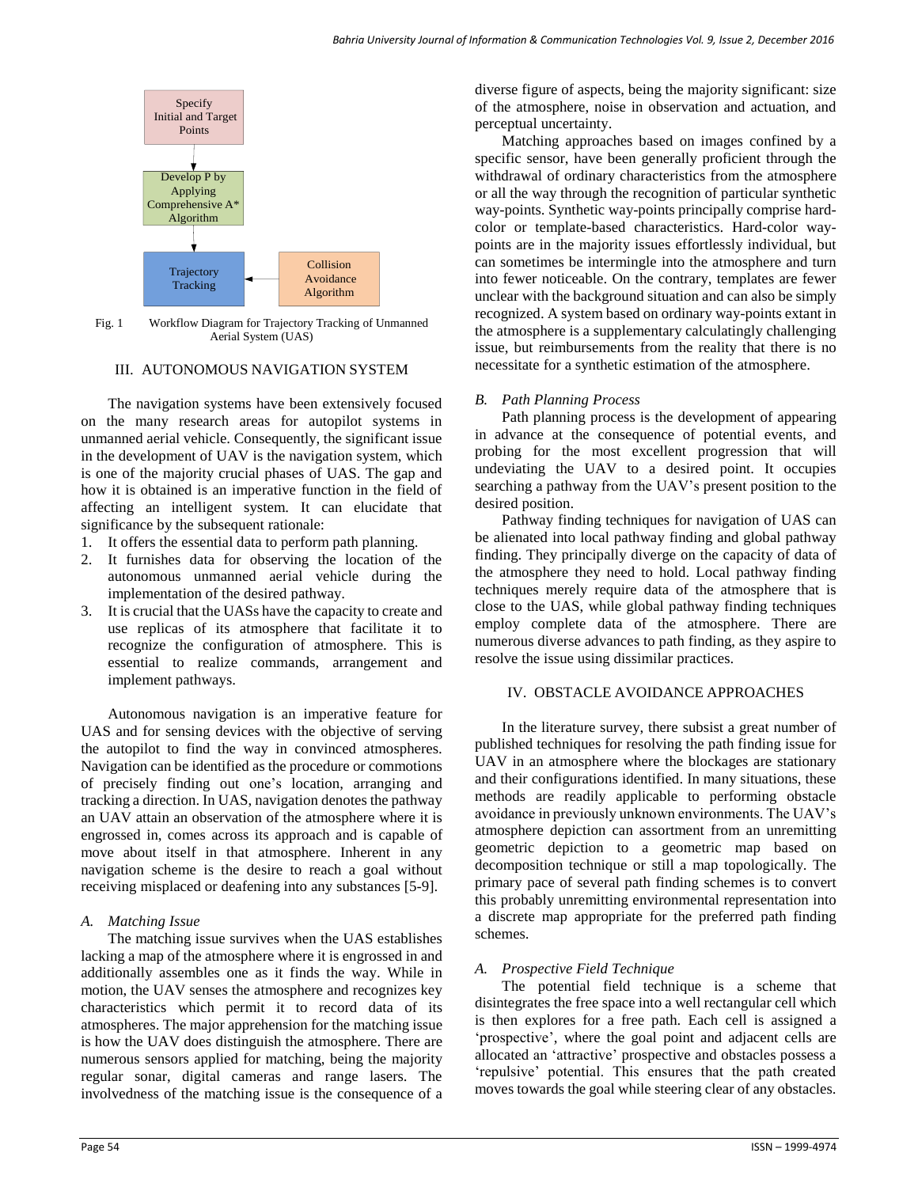

Fig. 1 Workflow Diagram for Trajectory Tracking of Unmanned Aerial System (UAS)

## III. AUTONOMOUS NAVIGATION SYSTEM

The navigation systems have been extensively focused on the many research areas for autopilot systems in unmanned aerial vehicle. Consequently, the significant issue in the development of UAV is the navigation system, which is one of the majority crucial phases of UAS. The gap and how it is obtained is an imperative function in the field of affecting an intelligent system. It can elucidate that significance by the subsequent rationale:

- 1. It offers the essential data to perform path planning.
- 2. It furnishes data for observing the location of the autonomous unmanned aerial vehicle during the implementation of the desired pathway.
- 3. It is crucial that the UASs have the capacity to create and use replicas of its atmosphere that facilitate it to recognize the configuration of atmosphere. This is essential to realize commands, arrangement and implement pathways.

Autonomous navigation is an imperative feature for UAS and for sensing devices with the objective of serving the autopilot to find the way in convinced atmospheres. Navigation can be identified as the procedure or commotions of precisely finding out one's location, arranging and tracking a direction. In UAS, navigation denotes the pathway an UAV attain an observation of the atmosphere where it is engrossed in, comes across its approach and is capable of move about itself in that atmosphere. Inherent in any navigation scheme is the desire to reach a goal without receiving misplaced or deafening into any substances [5-9].

## *A. Matching Issue*

The matching issue survives when the UAS establishes lacking a map of the atmosphere where it is engrossed in and additionally assembles one as it finds the way. While in motion, the UAV senses the atmosphere and recognizes key characteristics which permit it to record data of its atmospheres. The major apprehension for the matching issue is how the UAV does distinguish the atmosphere. There are numerous sensors applied for matching, being the majority regular sonar, digital cameras and range lasers. The involvedness of the matching issue is the consequence of a

diverse figure of aspects, being the majority significant: size of the atmosphere, noise in observation and actuation, and perceptual uncertainty.

Matching approaches based on images confined by a specific sensor, have been generally proficient through the withdrawal of ordinary characteristics from the atmosphere or all the way through the recognition of particular synthetic way-points. Synthetic way-points principally comprise hardcolor or template-based characteristics. Hard-color waypoints are in the majority issues effortlessly individual, but can sometimes be intermingle into the atmosphere and turn into fewer noticeable. On the contrary, templates are fewer unclear with the background situation and can also be simply recognized. A system based on ordinary way-points extant in the atmosphere is a supplementary calculatingly challenging issue, but reimbursements from the reality that there is no necessitate for a synthetic estimation of the atmosphere.

## *B. Path Planning Process*

Path planning process is the development of appearing in advance at the consequence of potential events, and probing for the most excellent progression that will undeviating the UAV to a desired point. It occupies searching a pathway from the UAV's present position to the desired position.

Pathway finding techniques for navigation of UAS can be alienated into local pathway finding and global pathway finding. They principally diverge on the capacity of data of the atmosphere they need to hold. Local pathway finding techniques merely require data of the atmosphere that is close to the UAS, while global pathway finding techniques employ complete data of the atmosphere. There are numerous diverse advances to path finding, as they aspire to resolve the issue using dissimilar practices.

# IV. OBSTACLE AVOIDANCE APPROACHES

In the literature survey, there subsist a great number of published techniques for resolving the path finding issue for UAV in an atmosphere where the blockages are stationary and their configurations identified. In many situations, these methods are readily applicable to performing obstacle avoidance in previously unknown environments. The UAV's atmosphere depiction can assortment from an unremitting geometric depiction to a geometric map based on decomposition technique or still a map topologically. The primary pace of several path finding schemes is to convert this probably unremitting environmental representation into a discrete map appropriate for the preferred path finding schemes.

# *A. Prospective Field Technique*

The potential field technique is a scheme that disintegrates the free space into a well rectangular cell which is then explores for a free path. Each cell is assigned a 'prospective', where the goal point and adjacent cells are allocated an 'attractive' prospective and obstacles possess a 'repulsive' potential. This ensures that the path created moves towards the goal while steering clear of any obstacles.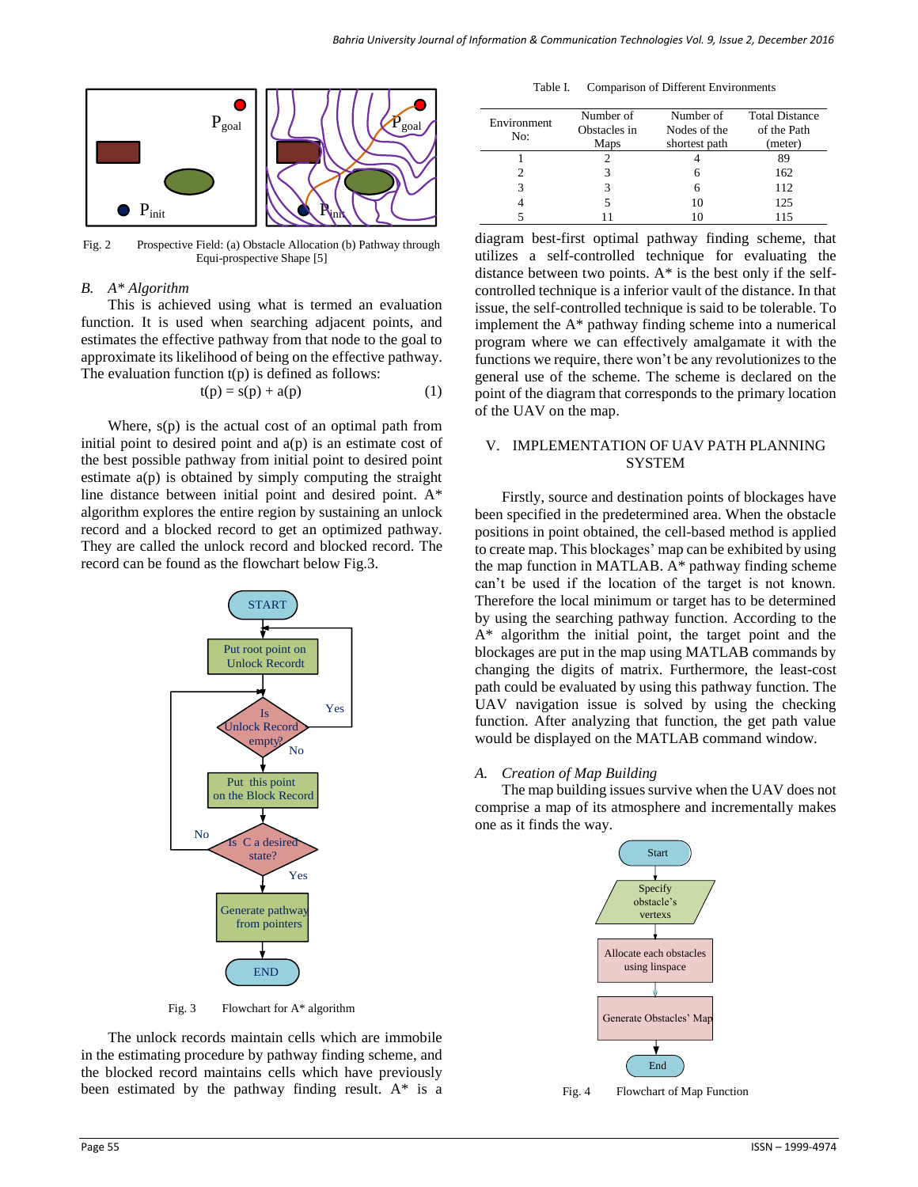

Fig. 2 Prospective Field: (a) Obstacle Allocation (b) Pathway through Equi-prospective Shape [5]

#### *B. A\* Algorithm*

This is achieved using what is termed an evaluation function. It is used when searching adjacent points, and estimates the effective pathway from that node to the goal to approximate its likelihood of being on the effective pathway. The evaluation function t(p) is defined as follows:

$$
t(p) = s(p) + a(p) \tag{1}
$$

Where, s(p) is the actual cost of an optimal path from initial point to desired point and  $a(p)$  is an estimate cost of the best possible pathway from initial point to desired point estimate a(p) is obtained by simply computing the straight line distance between initial point and desired point. A\* algorithm explores the entire region by sustaining an unlock record and a blocked record to get an optimized pathway. They are called the unlock record and blocked record. The record can be found as the flowchart below Fig.3.



Fig. 3 Flowchart for A\* algorithm

The unlock records maintain cells which are immobile in the estimating procedure by pathway finding scheme, and the blocked record maintains cells which have previously been estimated by the pathway finding result. A\* is a

| Environment<br>No: | Number of    | Number of     | <b>Total Distance</b> |
|--------------------|--------------|---------------|-----------------------|
|                    | Obstacles in | Nodes of the  | of the Path           |
|                    | Maps         | shortest path | (meter)               |
|                    |              |               | 89                    |
|                    | 3            |               | 162                   |
|                    |              |               | 112                   |
|                    |              |               |                       |

4 5 10 125 5 11 10 115

Table I. Comparison of Different Environments

diagram best-first optimal pathway finding scheme, that utilizes a self-controlled technique for evaluating the distance between two points.  $A^*$  is the best only if the selfcontrolled technique is a inferior vault of the distance. In that issue, the self-controlled technique is said to be tolerable. To implement the A\* pathway finding scheme into a numerical program where we can effectively amalgamate it with the functions we require, there won't be any revolutionizes to the general use of the scheme. The scheme is declared on the point of the diagram that corresponds to the primary location of the UAV on the map.

### V. IMPLEMENTATION OF UAV PATH PLANNING **SYSTEM**

Firstly, source and destination points of blockages have been specified in the predetermined area. When the obstacle positions in point obtained, the cell-based method is applied to create map. This blockages' map can be exhibited by using the map function in MATLAB. A\* pathway finding scheme can't be used if the location of the target is not known. Therefore the local minimum or target has to be determined by using the searching pathway function. According to the A\* algorithm the initial point, the target point and the blockages are put in the map using MATLAB commands by changing the digits of matrix. Furthermore, the least-cost path could be evaluated by using this pathway function. The UAV navigation issue is solved by using the checking function. After analyzing that function, the get path value would be displayed on the MATLAB command window.

*A. Creation of Map Building* 

The map building issues survive when the UAV does not comprise a map of its atmosphere and incrementally makes one as it finds the way.



Fig. 4 Flowchart of Map Function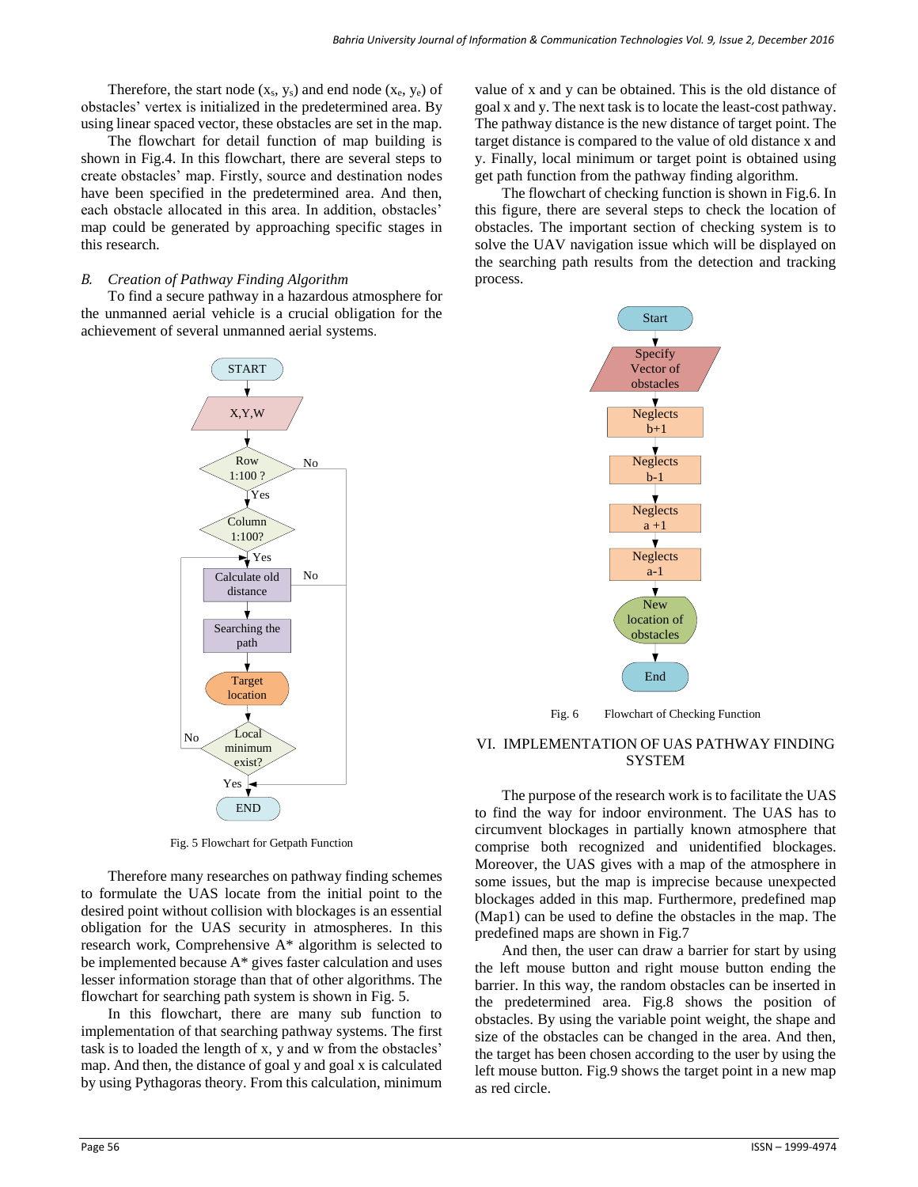Therefore, the start node  $(x_s, y_s)$  and end node  $(x_e, y_e)$  of obstacles' vertex is initialized in the predetermined area. By using linear spaced vector, these obstacles are set in the map.

The flowchart for detail function of map building is shown in Fig.4. In this flowchart, there are several steps to create obstacles' map. Firstly, source and destination nodes have been specified in the predetermined area. And then, each obstacle allocated in this area. In addition, obstacles' map could be generated by approaching specific stages in this research.

#### *B. Creation of Pathway Finding Algorithm*

To find a secure pathway in a hazardous atmosphere for the unmanned aerial vehicle is a crucial obligation for the achievement of several unmanned aerial systems.



Fig. 5 Flowchart for Getpath Function

Therefore many researches on pathway finding schemes to formulate the UAS locate from the initial point to the desired point without collision with blockages is an essential obligation for the UAS security in atmospheres. In this research work, Comprehensive A\* algorithm is selected to be implemented because A\* gives faster calculation and uses lesser information storage than that of other algorithms. The flowchart for searching path system is shown in Fig. 5.

In this flowchart, there are many sub function to implementation of that searching pathway systems. The first task is to loaded the length of x, y and w from the obstacles' map. And then, the distance of goal y and goal x is calculated by using Pythagoras theory. From this calculation, minimum

value of x and y can be obtained. This is the old distance of goal x and y. The next task is to locate the least-cost pathway. The pathway distance is the new distance of target point. The target distance is compared to the value of old distance x and y. Finally, local minimum or target point is obtained using get path function from the pathway finding algorithm.

The flowchart of checking function is shown in Fig.6. In this figure, there are several steps to check the location of obstacles. The important section of checking system is to solve the UAV navigation issue which will be displayed on the searching path results from the detection and tracking process.



Fig. 6 Flowchart of Checking Function

#### VI. IMPLEMENTATION OF UAS PATHWAY FINDING **SYSTEM**

The purpose of the research work is to facilitate the UAS to find the way for indoor environment. The UAS has to circumvent blockages in partially known atmosphere that comprise both recognized and unidentified blockages. Moreover, the UAS gives with a map of the atmosphere in some issues, but the map is imprecise because unexpected blockages added in this map. Furthermore, predefined map (Map1) can be used to define the obstacles in the map. The predefined maps are shown in Fig.7

And then, the user can draw a barrier for start by using the left mouse button and right mouse button ending the barrier. In this way, the random obstacles can be inserted in the predetermined area. Fig.8 shows the position of obstacles. By using the variable point weight, the shape and size of the obstacles can be changed in the area. And then, the target has been chosen according to the user by using the left mouse button. Fig.9 shows the target point in a new map as red circle.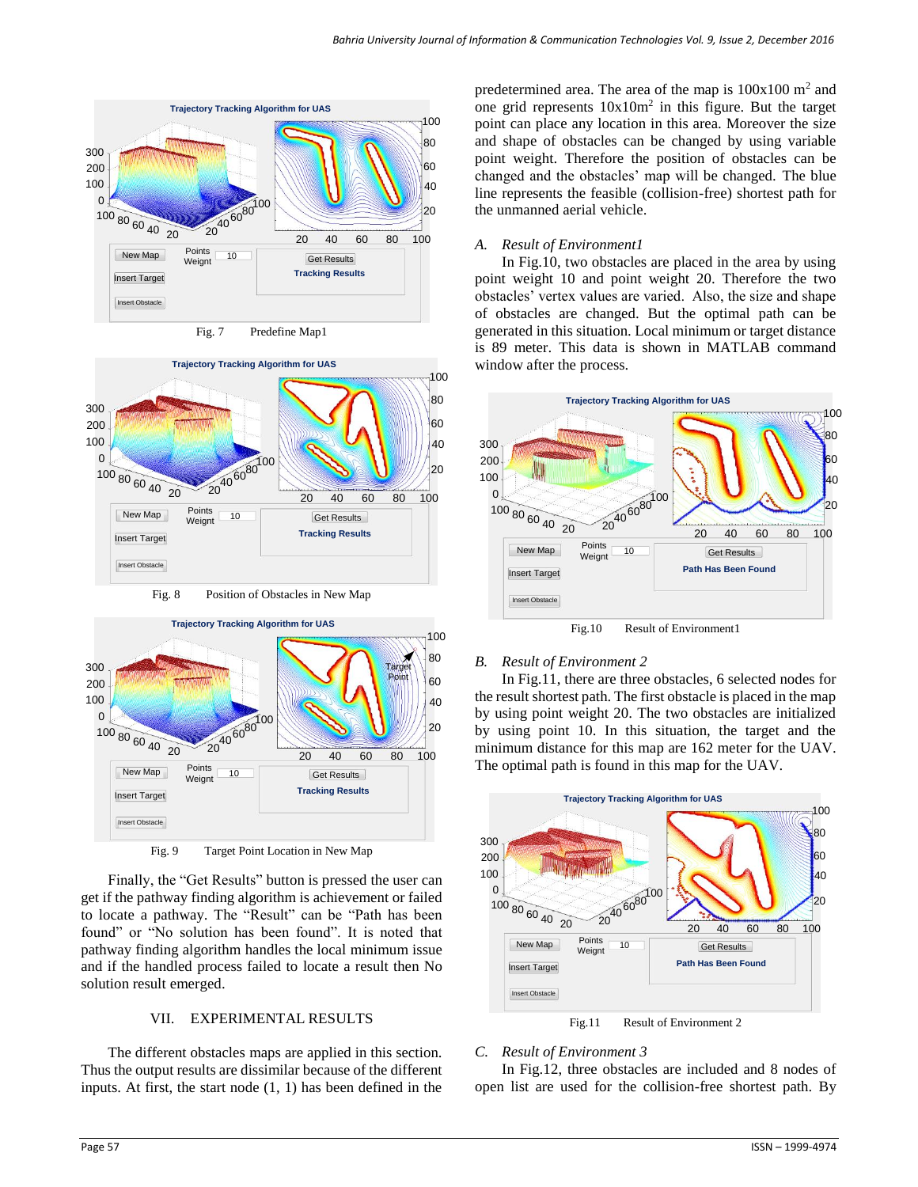



Fig. 8 Position of Obstacles in New Map



Fig. 9 Target Point Location in New Map

Finally, the "Get Results" button is pressed the user can get if the pathway finding algorithm is achievement or failed to locate a pathway. The "Result" can be "Path has been found" or "No solution has been found". It is noted that pathway finding algorithm handles the local minimum issue and if the handled process failed to locate a result then No solution result emerged.

## VII. EXPERIMENTAL RESULTS

The different obstacles maps are applied in this section. Thus the output results are dissimilar because of the different inputs. At first, the start node (1, 1) has been defined in the

predetermined area. The area of the map is  $100x100$  m<sup>2</sup> and one grid represents  $10x10m^2$  in this figure. But the target point can place any location in this area. Moreover the size and shape of obstacles can be changed by using variable point weight. Therefore the position of obstacles can be changed and the obstacles' map will be changed. The blue line represents the feasible (collision-free) shortest path for the unmanned aerial vehicle.

## *A. Result of Environment1*

In Fig.10, two obstacles are placed in the area by using point weight 10 and point weight 20. Therefore the two obstacles' vertex values are varied. Also, the size and shape of obstacles are changed. But the optimal path can be generated in this situation. Local minimum or target distance is 89 meter. This data is shown in MATLAB command window after the process.



Fig.10 Result of Environment1

## *B. Result of Environment 2*

In Fig.11, there are three obstacles, 6 selected nodes for the result shortest path. The first obstacle is placed in the map by using point weight 20. The two obstacles are initialized by using point 10. In this situation, the target and the minimum distance for this map are 162 meter for the UAV. The optimal path is found in this map for the UAV.



Fig.11 Result of Environment 2

# *C. Result of Environment 3*

In Fig.12, three obstacles are included and 8 nodes of open list are used for the collision-free shortest path. By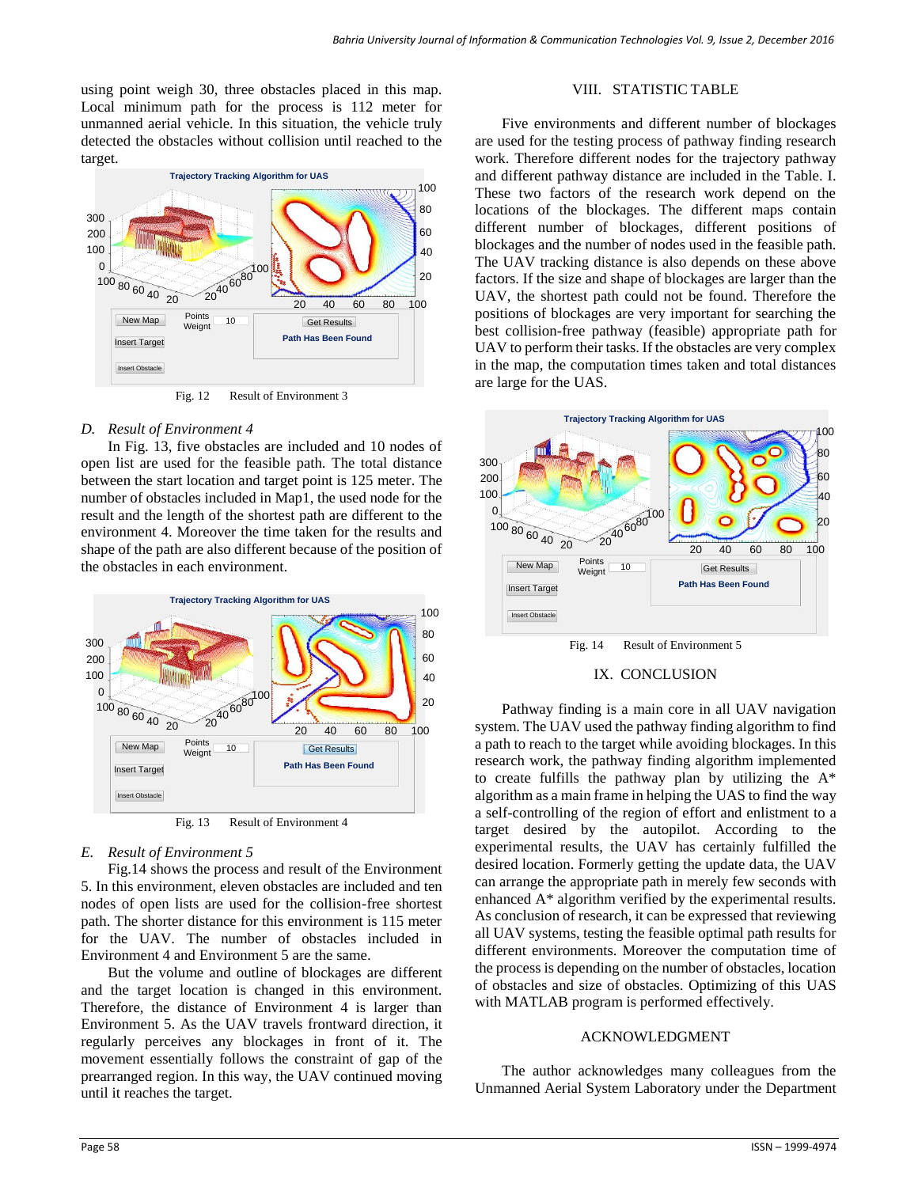using point weigh 30, three obstacles placed in this map. Local minimum path for the process is 112 meter for unmanned aerial vehicle. In this situation, the vehicle truly detected the obstacles without collision until reached to the target.



Fig. 12 Result of Environment 3

## *D. Result of Environment 4*

In Fig. 13, five obstacles are included and 10 nodes of open list are used for the feasible path. The total distance between the start location and target point is 125 meter. The number of obstacles included in Map1, the used node for the result and the length of the shortest path are different to the environment 4. Moreover the time taken for the results and shape of the path are also different because of the position of the obstacles in each environment.



Fig. 13 Result of Environment 4

## *E. Result of Environment 5*

Fig.14 shows the process and result of the Environment 5. In this environment, eleven obstacles are included and ten nodes of open lists are used for the collision-free shortest path. The shorter distance for this environment is 115 meter for the UAV. The number of obstacles included in Environment 4 and Environment 5 are the same.

But the volume and outline of blockages are different and the target location is changed in this environment. Therefore, the distance of Environment 4 is larger than Environment 5. As the UAV travels frontward direction, it regularly perceives any blockages in front of it. The movement essentially follows the constraint of gap of the prearranged region. In this way, the UAV continued moving until it reaches the target.

## VIII. STATISTIC TABLE

Five environments and different number of blockages are used for the testing process of pathway finding research work. Therefore different nodes for the trajectory pathway and different pathway distance are included in the Table. I. These two factors of the research work depend on the locations of the blockages. The different maps contain different number of blockages, different positions of blockages and the number of nodes used in the feasible path. The UAV tracking distance is also depends on these above factors. If the size and shape of blockages are larger than the UAV, the shortest path could not be found. Therefore the positions of blockages are very important for searching the best collision-free pathway (feasible) appropriate path for UAV to perform their tasks. If the obstacles are very complex in the map, the computation times taken and total distances are large for the UAS.



#### IX. CONCLUSION

Pathway finding is a main core in all UAV navigation system. The UAV used the pathway finding algorithm to find a path to reach to the target while avoiding blockages. In this research work, the pathway finding algorithm implemented to create fulfills the pathway plan by utilizing the  $A^*$ algorithm as a main frame in helping the UAS to find the way a self-controlling of the region of effort and enlistment to a target desired by the autopilot. According to the experimental results, the UAV has certainly fulfilled the desired location. Formerly getting the update data, the UAV can arrange the appropriate path in merely few seconds with enhanced A\* algorithm verified by the experimental results. As conclusion of research, it can be expressed that reviewing all UAV systems, testing the feasible optimal path results for different environments. Moreover the computation time of the process is depending on the number of obstacles, location of obstacles and size of obstacles. Optimizing of this UAS with MATLAB program is performed effectively.

## ACKNOWLEDGMENT

The author acknowledges many colleagues from the Unmanned Aerial System Laboratory under the Department